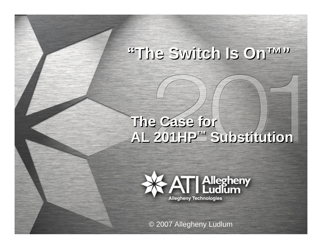## **"The Switch Is On™" "The Switch Is On™"**

#### **The Case for AL 201HP ™ Substitution The Case for AL 201HP ™ Substitution**



© 2007 Allegheny Ludlum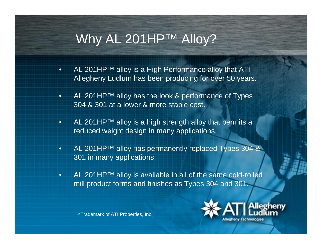### Why AL 201HP™ Alloy?

- •AL 201HP™ alloy is a  $\underline{H}$ igh Performance alloy that ATI Allegheny Ludlum has been producing for over 50 years.
- • AL 201HP™ alloy has the look & performance of Types 304 & 301 at a lower & more stable cost.
- •AL 201HP™ alloy is a high strength alloy that permits a reduced weight design in many applications.
- • AL 201HP™ alloy has permanently replaced Types 304 & 301 in many applications.
- • AL 201HP™ alloy is available in all of the same cold-rolled mill product forms and finishes as Types 304 and 301.

™Trademark of ATI Properties, Inc.

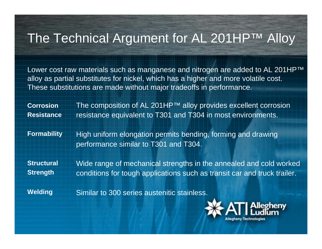### The Technical Argument for AL 201HP™ Alloy

Lower cost raw materials such as manganese and nitrogen are added to AL 201HP<sup>™</sup> alloy as partial substitutes for nickel, which has a higher and more volatile cost. These substitutions are made without major tradeoffs in performance.

The composition of AL 201HP™ alloy provides excellent corrosion resistance equivalent to T301 and T304 in most environments. **CorrosionResistance**

High uniform elongation permits bending, forming and drawing performance similar to T301 and T304. **Formability**

**Structural Strength**

Wide range of mechanical strengths in the annealed and cold worked conditions for tough applications such as transit car and truck trailer.

**Welding**

Similar to 300 series austenitic stainless.

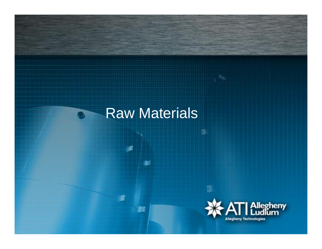### Raw Materials

S

80

Ġ

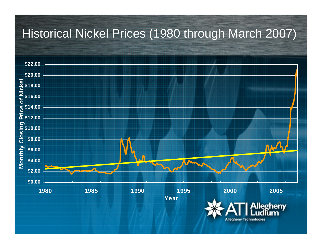### Historical Nickel Prices (1980 through March 2007)

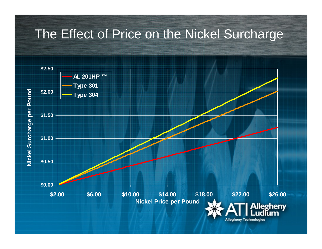### The Effect of Price on the Nickel Surcharge

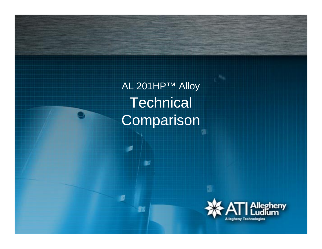AL 201HP™ Alloy **Technical Comparison** 

馬

**SE** 

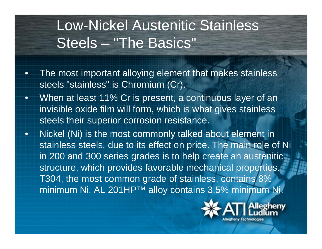## Low-Nickel Austenitic Stainless Steels – "The Basics"

- $\bullet$  The most important alloying element that makes stainless steels "stainless" is Chromium (Cr).
- • When at least 11% Cr is present, a continuous layer of an invisible oxide film will form, which is what gives stainless steels their superior corrosion resistance.
- • Nickel (Ni) is the most commonly talked about element in stainless steels, due to its effect on price. The main role of Ni in 200 and 300 series grades is to help create an austenitic structure, which provides favorable mechanical properties. T304, the most common grade of stainless, contains 8% minimum Ni. AL 201HP™ alloy contains 3.5% minimum Ni.

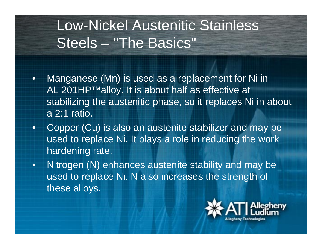## Low-Nickel Austenitic Stainless Steels – "The Basics"

- • Manganese (Mn) is used as a replacement for Ni in AL 201HP™alloy. It is about half as effective at stabilizing the austenitic phase, so it replaces Ni in about a 2:1 ratio.
- • Copper (Cu) is also an austenite stabilizer and may be used to replace Ni. It plays a role in reducing the work hardening rate.
- • Nitrogen (N) enhances austenite stability and may be used to replace Ni. N also increases the strength of these alloys.

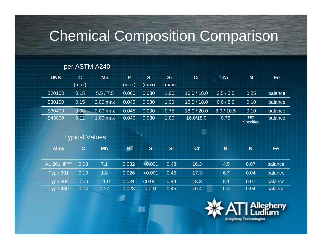## Chemical Composition Comparison

#### per ASTM A240

| <b>UNS</b>   | $\mathbf{C}$ | <b>Mn</b>             | P     | $\mathbf{s}$ | Si        | cr          | <b>Ni</b>  | N                              | Fe      |
|--------------|--------------|-----------------------|-------|--------------|-----------|-------------|------------|--------------------------------|---------|
|              | (max)        |                       | (max) | (max)        | (max)     |             |            |                                |         |
| S20100       | 0.15         | 5.5 / 7.5             | 0.060 | 0.030        | 1.00      | 16.0 / 18.0 | 3.5/5.5    | 0.25                           | balance |
| S30100       | 0.15         | 2.00 max              | 0.045 | 0.030        | 1.00      | 16.0 / 18.0 | 6.0 / 8.0  | 0.10                           | balance |
| S30400       | 0.08         | 2.00 max              | 0.045 | 0.030        | 0.75      | 18.0 / 20.0 | 8.0 / 10.5 | 0.10                           | balance |
| S43000       | 0.12         | $1.00$ max            | 0.040 | 0.030        | 1.00      | 16.0/18.0   | 0.75       | <b>Not</b><br><b>Specified</b> | balance |
|              |              |                       |       |              |           | 囁           |            |                                |         |
|              |              |                       |       |              |           |             |            |                                |         |
|              |              | <b>Typical Values</b> |       |              |           |             |            |                                |         |
| <b>Alloy</b> | $\mathbf{C}$ | <b>Mn</b>             | PË    | S            | <b>Si</b> | cr          | <b>Ni</b>  | N                              | Fe      |
|              |              |                       |       |              |           |             |            |                                |         |
| AL 201HP™    | 0.08         | 7.1                   | 0.032 | < 0.001      | 0.48      | 16.3        | 4.5        | 0.07                           | balance |
| Type 301     | 0.10         | 1.8                   | 0.026 | < 0.001      | 0.45      | 17.3        | 6.7        | 0.04                           | balance |
| Type 304     | 0.06         | 1.0                   | 0.031 | < 0.001      | 0.44      | 18.3        | 8.1        | 0.07                           | balance |

£,

53

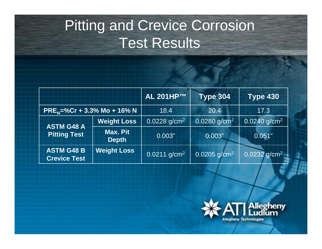## Pitting and Crevice Corrosion Test Results

|                                          |                          | <b>AL 201HP™</b>           | <b>Type 304</b>            | <b>Type 430</b>            |
|------------------------------------------|--------------------------|----------------------------|----------------------------|----------------------------|
| $PREN=%Cr + 3.3% Mo + 16% N$             |                          | 18.4                       | 20.4                       | 17.3                       |
| <b>ASTM G48 A</b><br><b>Pitting Test</b> | <b>Weight Loss</b>       | $0.0228$ g/cm <sup>2</sup> | $0.0280$ g/cm <sup>2</sup> | $0.0240$ g/cm <sup>2</sup> |
|                                          | Max. Pit<br><b>Depth</b> | 0.003"                     | 0.003"                     | 0.051"                     |
| <b>ASTM G48 B</b><br><b>Crevice Test</b> | <b>Weight Loss</b>       | $0.0211$ g/cm <sup>2</sup> | $0.0205$ g/cm <sup>2</sup> | $0.0232$ g/cm <sup>2</sup> |

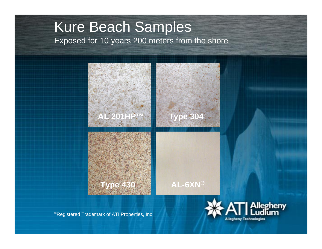### Kure Beach Samples Exposed for 10 years 200 meters from the shore



®Registered Trademark of ATI Properties, Inc.

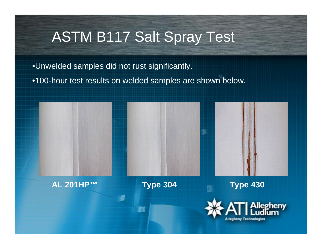## ASTM B117 Salt Spray Test

•Unwelded samples did not rust significantly.

•100-hour test results on welded samples are shown below.

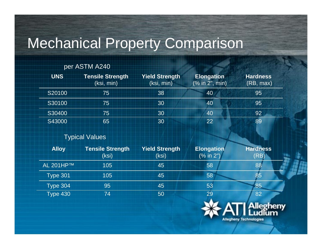## Mechanical Property Comparison

#### per ASTM A240

| <b>UNS</b> | <b>Tensile Strength</b><br>(ksi, min) | <b>Yield Strength</b><br>(ksi, min) | <b>Elongation</b><br>(% in 2", min) | <b>Hardness</b><br>(RB, max) |
|------------|---------------------------------------|-------------------------------------|-------------------------------------|------------------------------|
| S20100     | 75                                    | 38                                  | 40                                  | 95                           |
| S30100     | 75                                    | 30                                  | 40                                  | 95                           |
| S30400     | 75                                    | 30                                  | 40                                  | 92                           |
| S43000     | 65                                    | 30                                  | 22                                  | 89                           |

#### Typical Values

| <b>Alloy</b>            | <b>Tensile Strength</b><br>(ksi) | <b>Yield Strength</b><br>(ksi) | <b>Elongation</b><br>(% in 2") | <b>Hardness</b><br>(RB) |
|-------------------------|----------------------------------|--------------------------------|--------------------------------|-------------------------|
| AL 201HP™               | 105                              | 45                             | 58                             | 88                      |
| Type $301$ <sup>1</sup> | 105                              | 45                             | 58                             | 85                      |
| <b>Type 304</b>         | 95                               | 45                             | 53                             | 85                      |
| <b>Type 430</b>         | 74                               | 50                             | 29                             | 82                      |

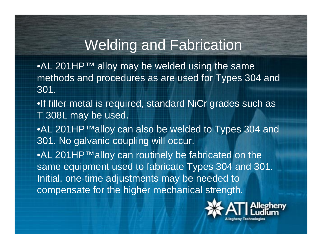### Welding and Fabrication

•AL 201HP™ alloy may be welded using the same methods and procedures as are used for Types 304 and 301.

- •If filler metal is required, standard NiCr grades such as T 308L may be used.
- •AL 201HP™alloy can also be welded to Types 304 and 301. No galvanic coupling will occur.

•AL 201HP™alloy can routinely be fabricated on the same equipment used to fabricate Types 304 and 301. Initial, one-time adjustments may be needed to compensate for the higher mechanical strength.

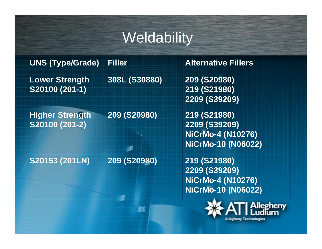## **Weldability**

| <b>UNS (Type/Grade)</b>                  | <b>Filler</b> | <b>Alternative Fillers</b>                                                             |
|------------------------------------------|---------------|----------------------------------------------------------------------------------------|
| <b>Lower Strength</b><br>S20100 (201-1)  | 308L (S30880) | 209 (S20980)<br>219 (S21980)<br>2209 (S39209)                                          |
| <b>Higher Strength</b><br>S20100 (201-2) | 209 (S20980)  | 219 (S21980)<br>2209 (S39209)<br><b>NiCrMo-4 (N10276)</b><br>NiCrMo-10 (N06022)        |
| S20153 (201LN)                           | 209 (S20980)  | 219 (S21980)<br><b>2209 (S39209)</b><br><b>NiCrMo-4 (N10276)</b><br>NiCrMo-10 (N06022) |

53

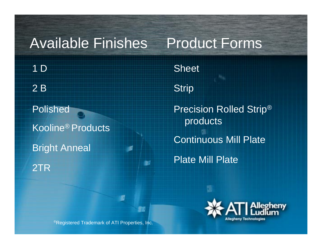### Available Finishes

### 1 D2 B

Polished Kooline® Products Bright Anneal 2TR

**Sheet Strip** Precision Rolled Strip® products Continuous Mill PlatePlate Mill Plate

Product Forms



®Registered Trademark of ATI Properties, Inc.

li i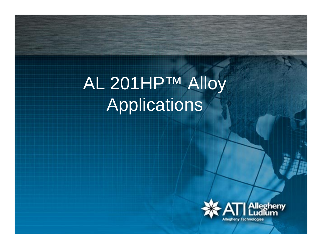# AL 201HP™ Alloy Applications

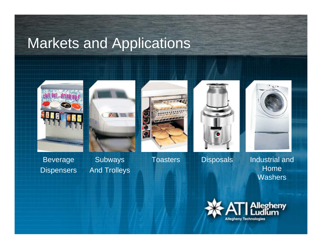## Markets and Applications











Beverage **Dispensers** 

**Subways** And Trolleys

Toasters Disposals Industrial and Home **Washers** 

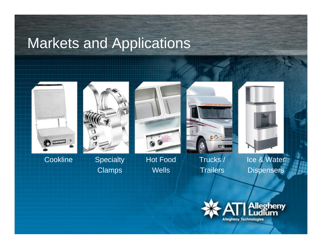## Markets and Applications



Cookline Specialty



Clamps



Hot Food Wells

 $000$ o

Trucks / Trailers

Ice & Water **Dispensers** 

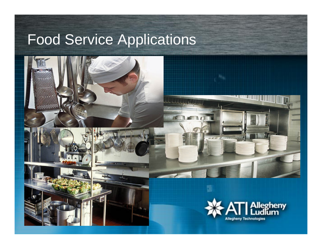## Food Service Applications



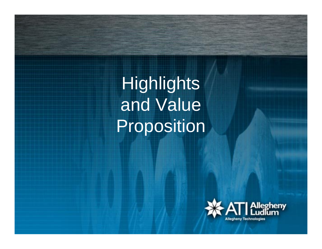**Highlights** and Value Proposition

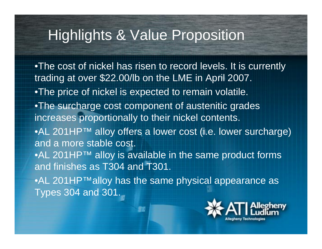## Highlights & Value Proposition

•The cost of nickel has risen to record levels. It is currently trading at over \$22.00/lb on the LME in April 2007. •The price of nickel is expected to remain volatile. •The surcharge cost component of austenitic grades increases proportionally to their nickel contents. •AL 201HP™ alloy offers a lower cost (i.e. lower surcharge) and a more stable cost. •AL 201HP™ alloy is available in the same product forms and finishes as T304 and T301. •AL 201HP™alloy has the same physical appearance as Types 304 and 301.

55

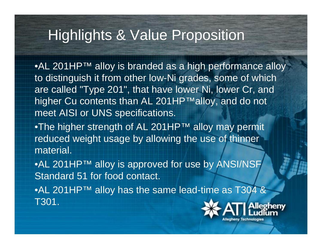## Highlights & Value Proposition

•AL 201HP™ alloy is branded as a high performance alloy to distinguish it from other low-Ni grades, some of which are called "Type 201", that have lower Ni, lower Cr, and higher Cu contents than AL 201HP™alloy, and do not meet AISI or UNS specifications.

•The higher strength of AL 201HP™ alloy may permit reduced weight usage by allowing the use of thinner material.

•AL 201HP™ alloy is approved for use by ANSI/NSF Standard 51 for food contact.

•AL 201HP™ alloy has the same lead-time as T304 & T301.

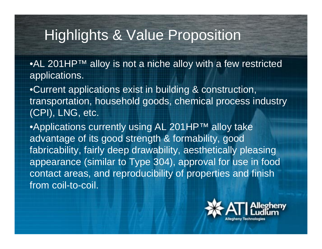## Highlights & Value Proposition

•AL 201HP™ alloy is not a niche alloy with a few restricted applications.

•Current applications exist in building & construction, transportation, household goods, chemical process industry (CPI), LNG, etc.

•Applications currently using AL 201HP™ alloy take advantage of its good strength & formability, good fabricability, fairly deep drawability, aesthetically pleasing appearance (similar to Type 304), approval for use in food contact areas, and reproducibility of properties and finish from coil-to-coil.

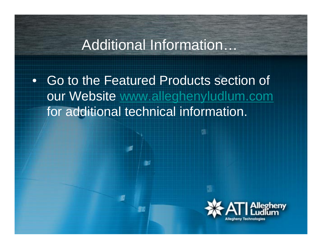### Additional Information…

• Go to the Featured Products section of our Website [www.alleghenyludlum.com](http://www.alleghenyludlum.com/) for additional technical information.

54

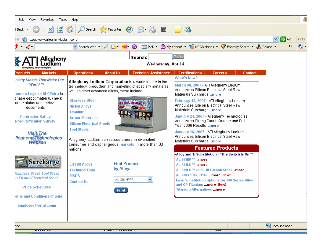